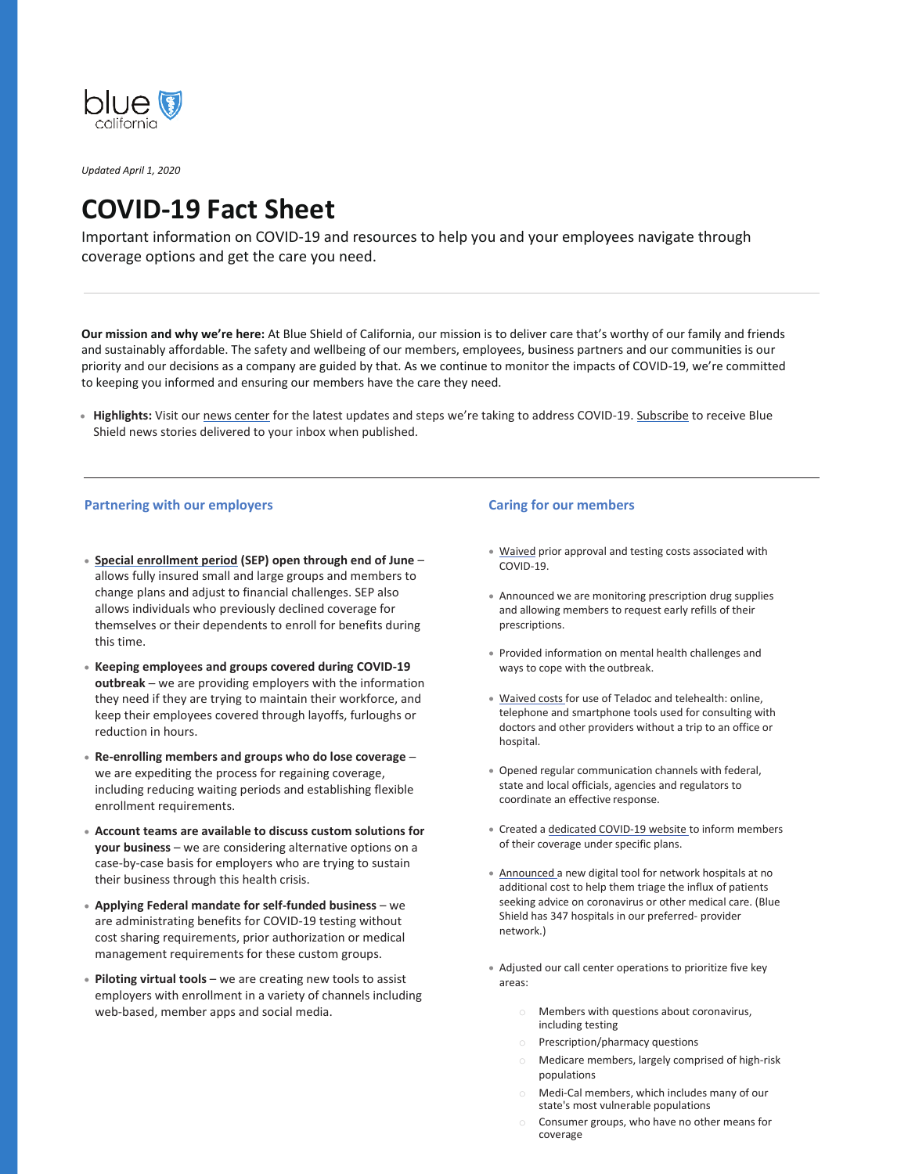

*Updated April 1, 2020*

# **COVID-19 Fact Sheet**

Important information on COVID-19 and resources to help you and your employees navigate through coverage options and get the care you need.

**Our mission and why we're here:** At Blue Shield of California, our mission is to deliver care that's worthy of our family and friends and sustainably affordable. The safety and wellbeing of our members, employees, business partners and our communities is our priority and our decisions as a company are guided by that. As we continue to monitor the impacts of COVID-19, we're committed to keeping you informed and ensuring our members have the care they need.

**Highlights:** Visit our news center for the latest updates and steps we're taking to address COVID-19. Subscribe to receive Blue Shield news stories delivered to your inbox when published.

#### **Partnering with our employers Caring for our members Caring for our members**

- x **Special enrollment period (SEP) open through end of June** allows fully insured small and large groups and members to change plans and adjust to financial challenges. SEP also allows individuals who previously declined coverage for themselves or their dependents to enroll for benefits during this time.
- x **Keeping employees and groups covered during COVID-19 outbreak** – we are providing employers with the information they need if they are trying to maintain their workforce, and keep their employees covered through layoffs, furloughs or reduction in hours.
- x **Re-enrolling members and groups who do lose coverage** ─ we are expediting the process for regaining coverage, including reducing waiting periods and establishing flexible enrollment requirements.
- x **Account teams are available to discuss custom solutions for your business** – we are considering alternative options on a case-by-case basis for employers who are trying to sustain their business through this health crisis.
- x **Applying Federal mandate for self-funded business**  we are administrating benefits for COVID-19 testing without cost sharing requirements, prior authorization or medical management requirements for these custom groups.
- x **Piloting virtual tools**  we are creating new tools to assist employers with enrollment in a variety of channels including web-based, member apps and social media.

- Waived prior approval and testing costs associated with COVID-19.
- Announced we are monitoring prescription drug supplies and allowing members to request early refills of their prescriptions.
- x Provided information on mental health challenges and ways to cope with the outbreak.
- Waived costs for use of Teladoc and telehealth: online, telephone and smartphone tools used for consulting with doctors and other providers without a trip to an office or hospital.
- Opened regular communication channels with federal, state and local officials, agencies and regulators to coordinate an effective response.
- x Created a dedicated COVID-19 website to inform members of their coverage under specific plans.
- x Announced a new digital tool for network hospitals at no additional cost to help them triage the influx of patients seeking advice on coronavirus or other medical care. (Blue Shield has 347 hospitals in our preferred- provider network.)
- Adjusted our call center operations to prioritize five key areas:
	- Members with questions about coronavirus, including testing
	- o Prescription/pharmacy questions
	- o Medicare members, largely comprised of high-risk populations
	- o Medi-Cal members, which includes many of our state's most vulnerable populations
	- Consumer groups, who have no other means for coverage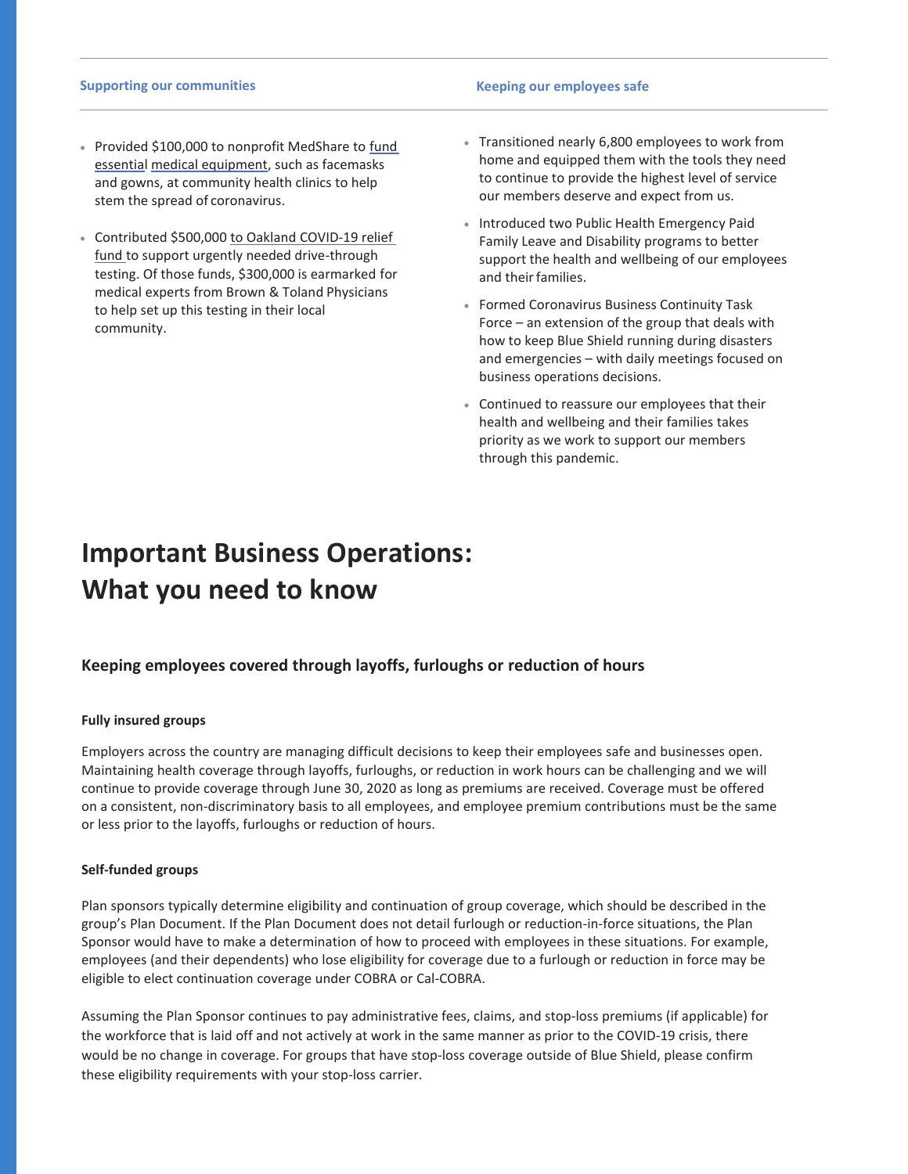#### **Supporting our communities and a strategies of the strategies of the Keeping our employees safe**

- Provided \$100,000 to nonprofit MedShare to fund essential medical equipment, such as facemasks and gowns, at community health clinics to help stem the spread of coronavirus.
- Contributed \$500,000 to Oakland COVID-19 relief fund to support urgently needed drive-through testing. Of those funds, \$300,000 is earmarked for medical experts from Brown & Toland Physicians to help set up this testing in their local community.
- Transitioned nearly 6,800 employees to work from home and equipped them with the tools they need to continue to provide the highest level of service our members deserve and expect from us.
- **Introduced two Public Health Emergency Paid** Family Leave and Disability programs to better support the health and wellbeing of our employees and their families.
- **Eormed Coronavirus Business Continuity Task** Force – an extension of the group that deals with how to keep Blue Shield running during disasters and emergencies – with daily meetings focused on business operations decisions.
- Continued to reassure our employees that their health and wellbeing and their families takes priority as we work to support our members through this pandemic.

# **Important Business Operations: What you need to know**

## **Keeping employees covered through layoffs, furloughs or reduction of hours**

### **Fully insured groups**

Employers across the country are managing difficult decisions to keep their employees safe and businesses open. Maintaining health coverage through layoffs, furloughs, or reduction in work hours can be challenging and we will continue to provide coverage through June 30, 2020 as long as premiums are received. Coverage must be offered on a consistent, non-discriminatory basis to all employees, and employee premium contributions must be the same or less prior to the layoffs, furloughs or reduction of hours.

#### **Self-funded groups**

Plan sponsors typically determine eligibility and continuation of group coverage, which should be described in the group's Plan Document. If the Plan Document does not detail furlough or reduction-in-force situations, the Plan Sponsor would have to make a determination of how to proceed with employees in these situations. For example, employees (and their dependents) who lose eligibility for coverage due to a furlough or reduction in force may be eligible to elect continuation coverage under COBRA or Cal-COBRA.

Assuming the Plan Sponsor continues to pay administrative fees, claims, and stop-loss premiums (if applicable) for the workforce that is laid off and not actively at work in the same manner as prior to the COVID-19 crisis, there would be no change in coverage. For groups that have stop-loss coverage outside of Blue Shield, please confirm these eligibility requirements with your stop-loss carrier.